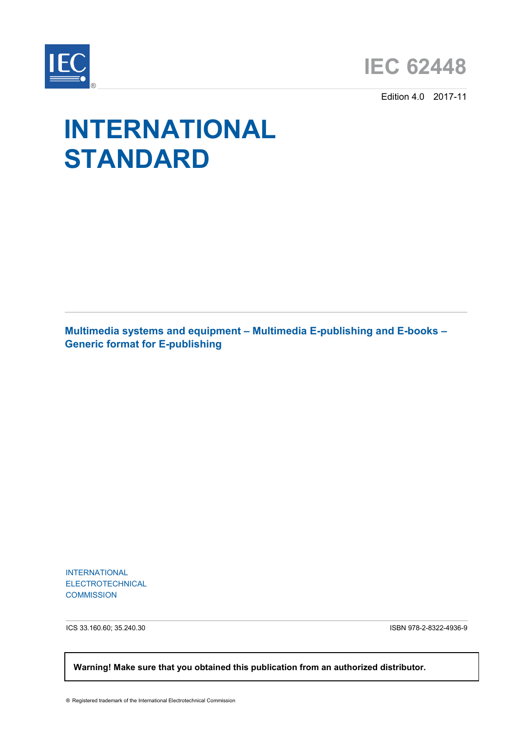



Edition 4.0 2017-11

# **INTERNATIONAL STANDARD**

**Multimedia systems and equipment – Multimedia E-publishing and E-books – Generic format for E-publishing**

INTERNATIONAL ELECTROTECHNICAL **COMMISSION** 

ICS 33.160.60; 35.240.30 ISBN 978-2-8322-4936-9

 **Warning! Make sure that you obtained this publication from an authorized distributor.**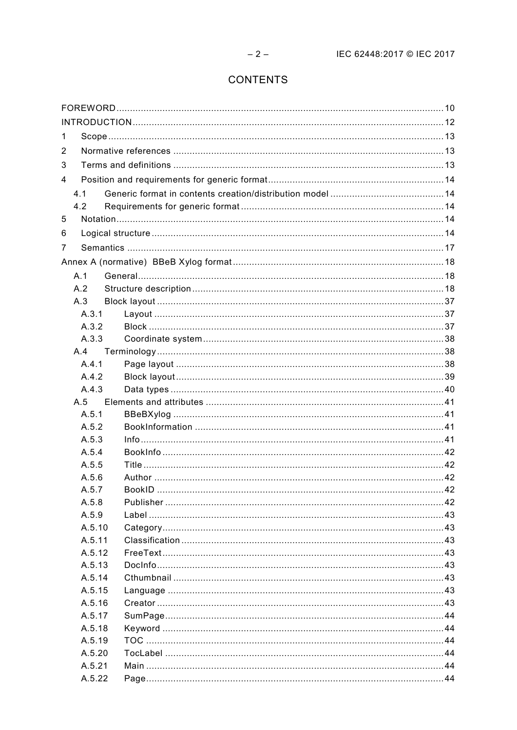# CONTENTS

| 1              |                  |  |
|----------------|------------------|--|
| 2              |                  |  |
| 3              |                  |  |
| 4              |                  |  |
|                | 4.1              |  |
|                | 4.2              |  |
| 5              |                  |  |
| 6              |                  |  |
| $\overline{7}$ |                  |  |
|                |                  |  |
|                | A.1              |  |
|                | A.2              |  |
|                | A.3              |  |
|                | A.3.1            |  |
|                | A.3.2            |  |
|                | A.3.3            |  |
|                | A.4              |  |
|                | A.4.1            |  |
|                | A.4.2            |  |
|                | A.4.3            |  |
|                | A.5              |  |
|                | A.5.1            |  |
|                | A.5.2            |  |
|                | A.5.3            |  |
|                | A.5.4            |  |
|                | A.5.5            |  |
|                | A.5.6            |  |
|                | A.5.7            |  |
|                | A.5.8            |  |
|                | A.5.9            |  |
|                | A.5.10           |  |
|                | A.5.11           |  |
|                | A.5.12<br>A.5.13 |  |
|                | A.5.14           |  |
|                | A.5.15           |  |
|                | A.5.16           |  |
|                | A.5.17           |  |
|                | A.5.18           |  |
|                | A.5.19           |  |
|                | A.5.20           |  |
|                | A.5.21           |  |
|                | A.5.22           |  |
|                |                  |  |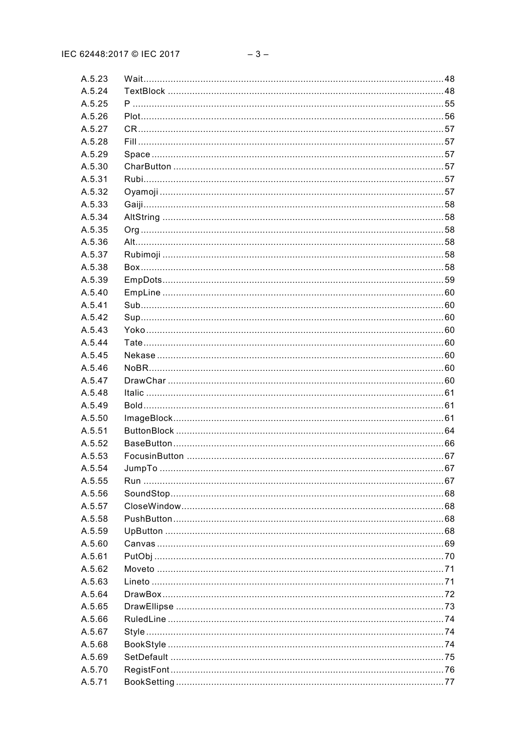| A.5.23 |  |
|--------|--|
| A.5.24 |  |
| A.5.25 |  |
| A.5.26 |  |
| A.5.27 |  |
| A.5.28 |  |
| A.5.29 |  |
| A.5.30 |  |
| A.5.31 |  |
| A.5.32 |  |
| A.5.33 |  |
| A.5.34 |  |
| A.5.35 |  |
| A.5.36 |  |
| A.5.37 |  |
| A.5.38 |  |
| A.5.39 |  |
| A.5.40 |  |
| A.5.41 |  |
| A.5.42 |  |
| A.5.43 |  |
| A.5.44 |  |
| A.5.45 |  |
| A.5.46 |  |
| A.5.47 |  |
| A.5.48 |  |
| A.5.49 |  |
| A.5.50 |  |
| A.5.51 |  |
| A.5.52 |  |
| A.5.53 |  |
| A.5.54 |  |
| A.5.55 |  |
| A.5.56 |  |
| A.5.57 |  |
| A.5.58 |  |
| A.5.59 |  |
| A.5.60 |  |
| A.5.61 |  |
| A.5.62 |  |
| A.5.63 |  |
| A.5.64 |  |
| A.5.65 |  |
| A.5.66 |  |
| A.5.67 |  |
| A.5.68 |  |
| A.5.69 |  |
| A.5.70 |  |
| A.5.71 |  |
|        |  |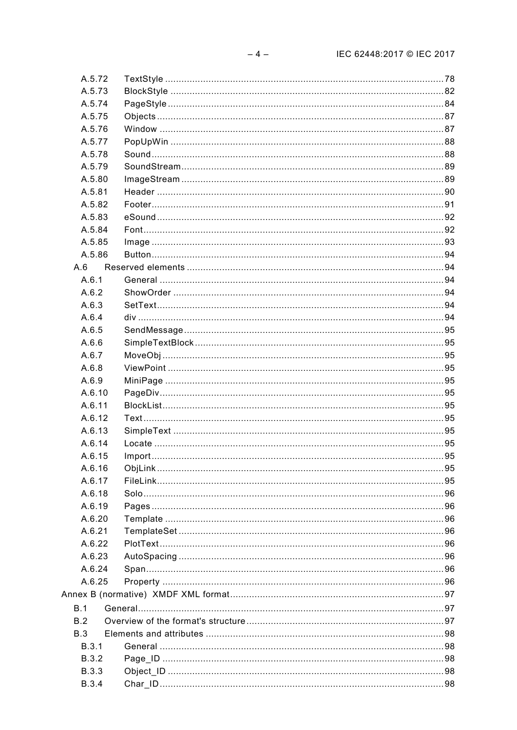| A.5.72       |  |
|--------------|--|
| A.5.73       |  |
| A.5.74       |  |
| A.5.75       |  |
| A.5.76       |  |
| A.5.77       |  |
| A.5.78       |  |
| A.5.79       |  |
| A.5.80       |  |
| A.5.81       |  |
| A.5.82       |  |
| A.5.83       |  |
| A.5.84       |  |
| A.5.85       |  |
| A.5.86       |  |
| A.6          |  |
| A.6.1        |  |
| A.6.2        |  |
| A.6.3        |  |
| A.6.4        |  |
| A.6.5        |  |
| A.6.6        |  |
| A.6.7        |  |
| A.6.8        |  |
| A.6.9        |  |
| A.6.10       |  |
| A.6.11       |  |
| A.6.12       |  |
| A.6.13       |  |
| A.6.14       |  |
| A.6.15       |  |
| A.6.16       |  |
| A.6.17       |  |
| A.6.18       |  |
| A.6.19       |  |
| A.6.20       |  |
| A.6.21       |  |
| A.6.22       |  |
| A.6.23       |  |
| A.6.24       |  |
| A.6.25       |  |
|              |  |
| B.1          |  |
| B.2          |  |
| B.3          |  |
| B.3.1        |  |
| <b>B.3.2</b> |  |
| <b>B.3.3</b> |  |
| <b>B.3.4</b> |  |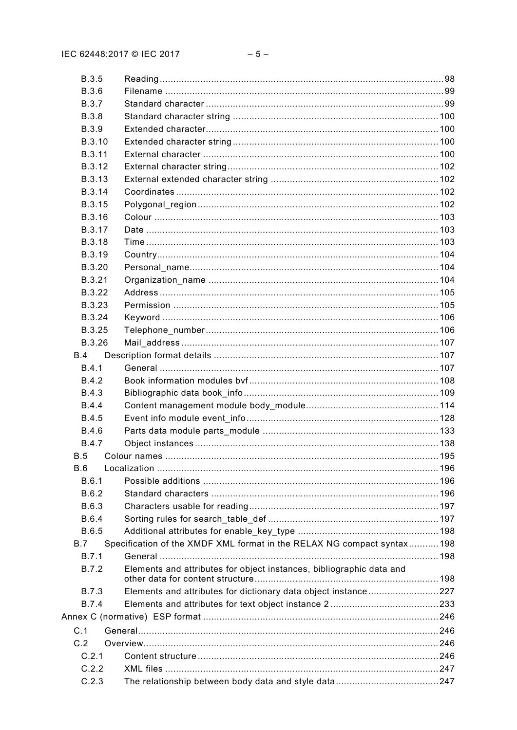| <b>B.3.5</b>  |                                                                        |  |
|---------------|------------------------------------------------------------------------|--|
| <b>B.3.6</b>  |                                                                        |  |
| <b>B.3.7</b>  |                                                                        |  |
| <b>B.3.8</b>  |                                                                        |  |
| <b>B.3.9</b>  |                                                                        |  |
| B.3.10        |                                                                        |  |
| B.3.11        |                                                                        |  |
| B.3.12        |                                                                        |  |
| B.3.13        |                                                                        |  |
| B.3.14        |                                                                        |  |
| B.3.15        |                                                                        |  |
| B.3.16        |                                                                        |  |
| B.3.17        |                                                                        |  |
| <b>B.3.18</b> |                                                                        |  |
| B.3.19        |                                                                        |  |
| B.3.20        |                                                                        |  |
| <b>B.3.21</b> |                                                                        |  |
| B.3.22        |                                                                        |  |
| B.3.23        |                                                                        |  |
| B.3.24        |                                                                        |  |
| B.3.25        |                                                                        |  |
| B.3.26        |                                                                        |  |
| <b>B.4</b>    |                                                                        |  |
| B.4.1         |                                                                        |  |
| <b>B.4.2</b>  |                                                                        |  |
| <b>B.4.3</b>  |                                                                        |  |
| <b>B.4.4</b>  |                                                                        |  |
| <b>B.4.5</b>  |                                                                        |  |
| <b>B.4.6</b>  |                                                                        |  |
| <b>B.4.7</b>  |                                                                        |  |
| B.5           |                                                                        |  |
| B.6           |                                                                        |  |
| B.6.1         |                                                                        |  |
| B.6.2         |                                                                        |  |
| B.6.3         |                                                                        |  |
| B.6.4         |                                                                        |  |
| B.6.5         |                                                                        |  |
| <b>B.7</b>    | Specification of the XMDF XML format in the RELAX NG compact syntax198 |  |
| B.7.1         |                                                                        |  |
| <b>B.7.2</b>  | Elements and attributes for object instances, bibliographic data and   |  |
| <b>B.7.3</b>  | Elements and attributes for dictionary data object instance227         |  |
| <b>B.7.4</b>  |                                                                        |  |
|               |                                                                        |  |
| C.1           |                                                                        |  |
| C.2           |                                                                        |  |
| C.2.1         |                                                                        |  |
| C.2.2         |                                                                        |  |
| C.2.3         |                                                                        |  |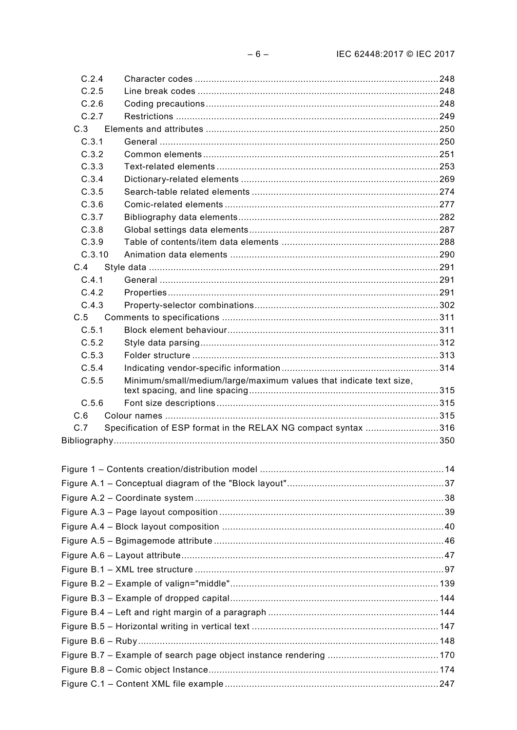| C.2.4          |                                                                    |  |
|----------------|--------------------------------------------------------------------|--|
| C.2.5          |                                                                    |  |
| C.2.6          |                                                                    |  |
| C.2.7          |                                                                    |  |
| C.3            |                                                                    |  |
| C.3.1          |                                                                    |  |
| C.3.2          |                                                                    |  |
| C.3.3          |                                                                    |  |
| C.3.4          |                                                                    |  |
| C.3.5          |                                                                    |  |
| C.3.6          |                                                                    |  |
| C.3.7          |                                                                    |  |
| C.3.8<br>C.3.9 |                                                                    |  |
| C.3.10         |                                                                    |  |
| C.4            |                                                                    |  |
| C.4.1          |                                                                    |  |
| C.4.2          |                                                                    |  |
| C.4.3          |                                                                    |  |
| C.5            |                                                                    |  |
| C.5.1          |                                                                    |  |
| C.5.2          |                                                                    |  |
| C.5.3          |                                                                    |  |
| C.5.4          |                                                                    |  |
| C.5.5          | Minimum/small/medium/large/maximum values that indicate text size, |  |
| C.5.6          |                                                                    |  |
| C.6            |                                                                    |  |
| C.7            | Specification of ESP format in the RELAX NG compact syntax 316     |  |
|                |                                                                    |  |
|                |                                                                    |  |
|                |                                                                    |  |
|                |                                                                    |  |
|                |                                                                    |  |
|                |                                                                    |  |
|                |                                                                    |  |
|                |                                                                    |  |
|                |                                                                    |  |
|                |                                                                    |  |
|                |                                                                    |  |
|                |                                                                    |  |
|                |                                                                    |  |
|                |                                                                    |  |
|                |                                                                    |  |
|                |                                                                    |  |
|                |                                                                    |  |
|                |                                                                    |  |
|                |                                                                    |  |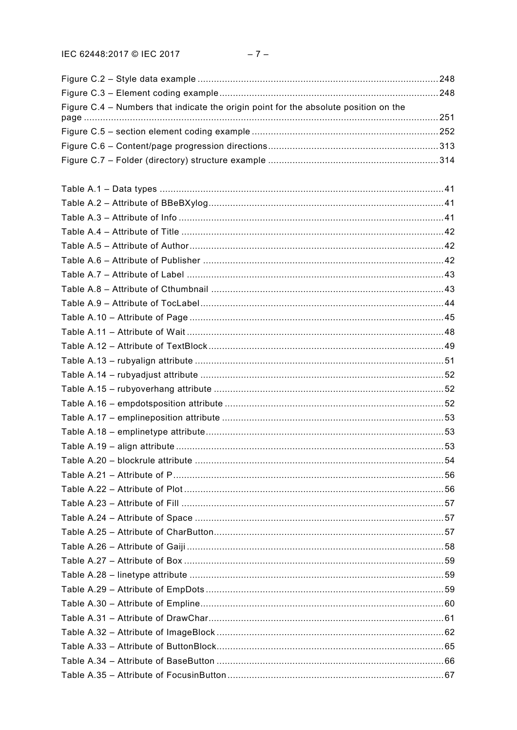| Figure C.4 - Numbers that indicate the origin point for the absolute position on the |  |
|--------------------------------------------------------------------------------------|--|
|                                                                                      |  |
|                                                                                      |  |
|                                                                                      |  |
|                                                                                      |  |
|                                                                                      |  |
|                                                                                      |  |
|                                                                                      |  |
|                                                                                      |  |
|                                                                                      |  |
|                                                                                      |  |
|                                                                                      |  |
|                                                                                      |  |
|                                                                                      |  |
|                                                                                      |  |
|                                                                                      |  |
|                                                                                      |  |
|                                                                                      |  |
|                                                                                      |  |
|                                                                                      |  |
|                                                                                      |  |
|                                                                                      |  |
|                                                                                      |  |
|                                                                                      |  |
|                                                                                      |  |
|                                                                                      |  |
|                                                                                      |  |
|                                                                                      |  |
|                                                                                      |  |
|                                                                                      |  |
|                                                                                      |  |
|                                                                                      |  |
|                                                                                      |  |
|                                                                                      |  |
|                                                                                      |  |
|                                                                                      |  |
|                                                                                      |  |
|                                                                                      |  |
|                                                                                      |  |
|                                                                                      |  |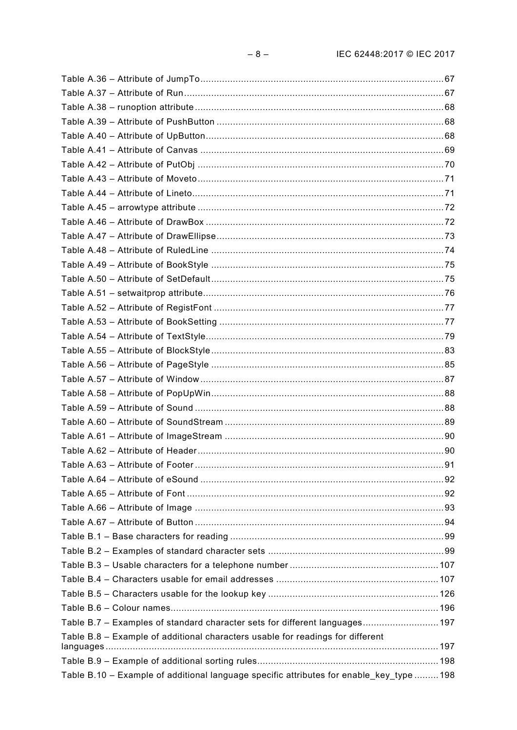| Table B.7 - Examples of standard character sets for different languages 197              |  |
|------------------------------------------------------------------------------------------|--|
| Table B.8 - Example of additional characters usable for readings for different           |  |
|                                                                                          |  |
| Table B.10 - Example of additional language specific attributes for enable_key_type  198 |  |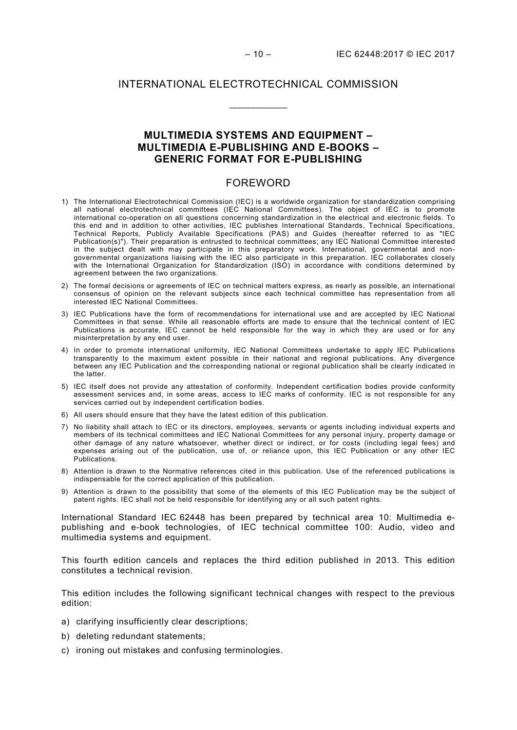#### INTERNATIONAL ELECTROTECHNICAL COMMISSION

\_\_\_\_\_\_\_\_\_\_\_\_

## **MULTIMEDIA SYSTEMS AND EQUIPMENT – MULTIMEDIA E-PUBLISHING AND E-BOOKS – GENERIC FORMAT FOR E-PUBLISHING**

#### FOREWORD

- <span id="page-9-0"></span>1) The International Electrotechnical Commission (IEC) is a worldwide organization for standardization comprising all national electrotechnical committees (IEC National Committees). The object of IEC is to promote international co-operation on all questions concerning standardization in the electrical and electronic fields. To this end and in addition to other activities, IEC publishes International Standards, Technical Specifications, Technical Reports, Publicly Available Specifications (PAS) and Guides (hereafter referred to as "IEC Publication(s)"). Their preparation is entrusted to technical committees; any IEC National Committee interested in the subject dealt with may participate in this preparatory work. International, governmental and nongovernmental organizations liaising with the IEC also participate in this preparation. IEC collaborates closely with the International Organization for Standardization (ISO) in accordance with conditions determined by agreement between the two organizations.
- 2) The formal decisions or agreements of IEC on technical matters express, as nearly as possible, an international consensus of opinion on the relevant subjects since each technical committee has representation from all interested IEC National Committees.
- 3) IEC Publications have the form of recommendations for international use and are accepted by IEC National Committees in that sense. While all reasonable efforts are made to ensure that the technical content of IEC Publications is accurate, IEC cannot be held responsible for the way in which they are used or for any misinterpretation by any end user.
- 4) In order to promote international uniformity, IEC National Committees undertake to apply IEC Publications transparently to the maximum extent possible in their national and regional publications. Any divergence between any IEC Publication and the corresponding national or regional publication shall be clearly indicated in the latter.
- 5) IEC itself does not provide any attestation of conformity. Independent certification bodies provide conformity assessment services and, in some areas, access to IEC marks of conformity. IEC is not responsible for any services carried out by independent certification bodies.
- 6) All users should ensure that they have the latest edition of this publication.
- 7) No liability shall attach to IEC or its directors, employees, servants or agents including individual experts and members of its technical committees and IEC National Committees for any personal injury, property damage or other damage of any nature whatsoever, whether direct or indirect, or for costs (including legal fees) and expenses arising out of the publication, use of, or reliance upon, this IEC Publication or any other IEC Publications.
- 8) Attention is drawn to the Normative references cited in this publication. Use of the referenced publications is indispensable for the correct application of this publication.
- 9) Attention is drawn to the possibility that some of the elements of this IEC Publication may be the subject of patent rights. IEC shall not be held responsible for identifying any or all such patent rights.

International Standard IEC 62448 has been prepared by technical area 10: Multimedia epublishing and e-book technologies, of IEC technical committee 100: Audio, video and multimedia systems and equipment.

This fourth edition cancels and replaces the third edition published in 2013. This edition constitutes a technical revision.

This edition includes the following significant technical changes with respect to the previous edition:

- a) clarifying insufficiently clear descriptions;
- b) deleting redundant statements;
- c) ironing out mistakes and confusing terminologies.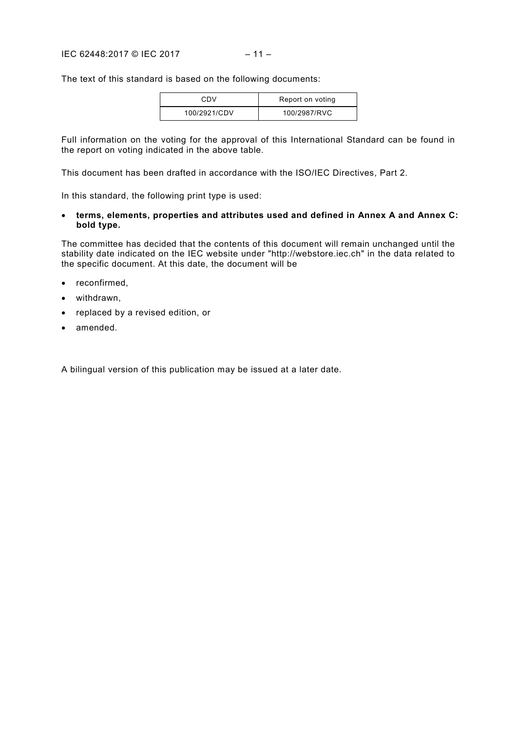The text of this standard is based on the following documents:

| CDV          | Report on voting |
|--------------|------------------|
| 100/2921/CDV | 100/2987/RVC     |

Full information on the voting for the approval of this International Standard can be found in the report on voting indicated in the above table.

This document has been drafted in accordance with the ISO/IEC Directives, Part 2.

In this standard, the following print type is used:

• **terms, elements, properties and attributes used and defined in Annex A and Annex C: bold type.**

The committee has decided that the contents of this document will remain unchanged until the stability date indicated on the IEC website under "http://webstore.iec.ch" in the data related to the specific document. At this date, the document will be

- reconfirmed,
- withdrawn,
- replaced by a revised edition, or
- amended.

A bilingual version of this publication may be issued at a later date.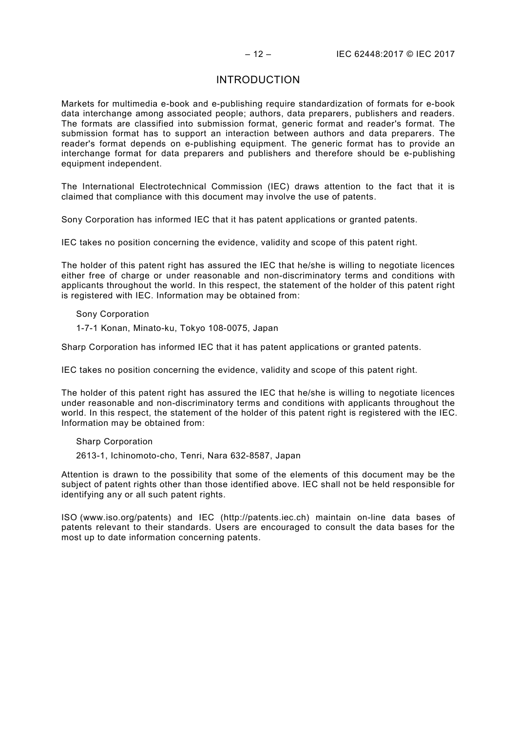### INTRODUCTION

<span id="page-11-0"></span>Markets for multimedia e-book and e-publishing require standardization of formats for e-book data interchange among associated people; authors, data preparers, publishers and readers. The formats are classified into submission format, generic format and reader's format. The submission format has to support an interaction between authors and data preparers. The reader's format depends on e-publishing equipment. The generic format has to provide an interchange format for data preparers and publishers and therefore should be e-publishing equipment independent.

The International Electrotechnical Commission (IEC) draws attention to the fact that it is claimed that compliance with this document may involve the use of patents.

Sony Corporation has informed IEC that it has patent applications or granted patents.

IEC takes no position concerning the evidence, validity and scope of this patent right.

The holder of this patent right has assured the IEC that he/she is willing to negotiate licences either free of charge or under reasonable and non-discriminatory terms and conditions with applicants throughout the world. In this respect, the statement of the holder of this patent right is registered with IEC. Information may be obtained from:

Sony Corporation

1-7-1 Konan, Minato-ku, Tokyo 108-0075, Japan

Sharp Corporation has informed IEC that it has patent applications or granted patents.

IEC takes no position concerning the evidence, validity and scope of this patent right.

The holder of this patent right has assured the IEC that he/she is willing to negotiate licences under reasonable and non-discriminatory terms and conditions with applicants throughout the world. In this respect, the statement of the holder of this patent right is registered with the IEC. Information may be obtained from:

Sharp Corporation

2613-1, Ichinomoto-cho, Tenri, Nara 632-8587, Japan

Attention is drawn to the possibility that some of the elements of this document may be the subject of patent rights other than those identified above. IEC shall not be held responsible for identifying any or all such patent rights.

ISO [\(www.iso.org/patents\)](http://www.iso.org/patents) and IEC (http://patents.iec.ch) maintain on-line data bases of patents relevant to their standards. Users are encouraged to consult the data bases for the most up to date information concerning patents.